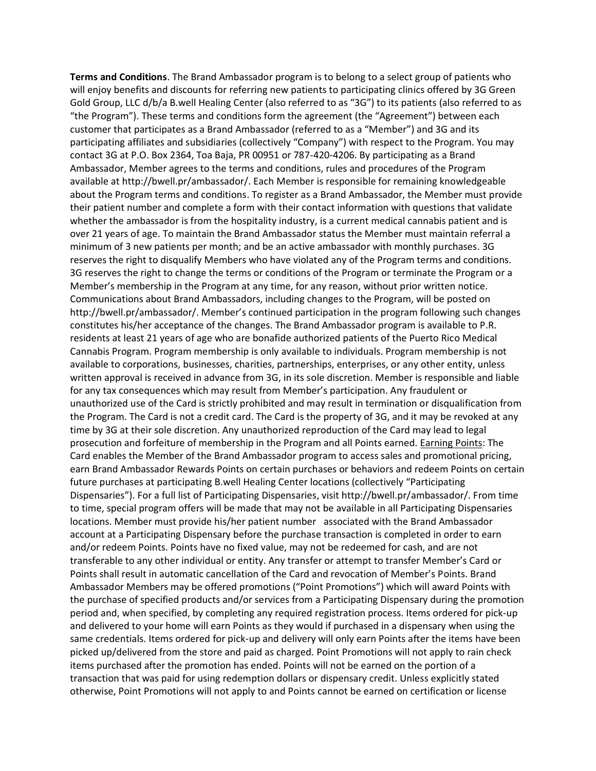**Terms and Conditions**. The Brand Ambassador program is to belong to a select group of patients who will enjoy benefits and discounts for referring new patients to participating clinics offered by 3G Green Gold Group, LLC d/b/a B.well Healing Center (also referred to as "3G") to its patients (also referred to as "the Program"). These terms and conditions form the agreement (the "Agreement") between each customer that participates as a Brand Ambassador (referred to as a "Member") and 3G and its participating affiliates and subsidiaries (collectively "Company") with respect to the Program. You may contact 3G at P.O. Box 2364, Toa Baja, PR 00951 or 787-420-4206. By participating as a Brand Ambassador, Member agrees to the terms and conditions, rules and procedures of the Program available at http://bwell.pr/ambassador/. Each Member is responsible for remaining knowledgeable about the Program terms and conditions. To register as a Brand Ambassador, the Member must provide their patient number and complete a form with their contact information with questions that validate whether the ambassador is from the hospitality industry, is a current medical cannabis patient and is over 21 years of age. To maintain the Brand Ambassador status the Member must maintain referral a minimum of 3 new patients per month; and be an active ambassador with monthly purchases. 3G reserves the right to disqualify Members who have violated any of the Program terms and conditions. 3G reserves the right to change the terms or conditions of the Program or terminate the Program or a Member's membership in the Program at any time, for any reason, without prior written notice. Communications about Brand Ambassadors, including changes to the Program, will be posted on http://bwell.pr/ambassador/. Member's continued participation in the program following such changes constitutes his/her acceptance of the changes. The Brand Ambassador program is available to P.R. residents at least 21 years of age who are bonafide authorized patients of the Puerto Rico Medical Cannabis Program. Program membership is only available to individuals. Program membership is not available to corporations, businesses, charities, partnerships, enterprises, or any other entity, unless written approval is received in advance from 3G, in its sole discretion. Member is responsible and liable for any tax consequences which may result from Member's participation. Any fraudulent or unauthorized use of the Card is strictly prohibited and may result in termination or disqualification from the Program. The Card is not a credit card. The Card is the property of 3G, and it may be revoked at any time by 3G at their sole discretion. Any unauthorized reproduction of the Card may lead to legal prosecution and forfeiture of membership in the Program and all Points earned. Earning Points: The Card enables the Member of the Brand Ambassador program to access sales and promotional pricing, earn Brand Ambassador Rewards Points on certain purchases or behaviors and redeem Points on certain future purchases at participating B.well Healing Center locations (collectively "Participating Dispensaries"). For a full list of Participating Dispensaries, visit http://bwell.pr/ambassador/. From time to time, special program offers will be made that may not be available in all Participating Dispensaries locations. Member must provide his/her patient number associated with the Brand Ambassador account at a Participating Dispensary before the purchase transaction is completed in order to earn and/or redeem Points. Points have no fixed value, may not be redeemed for cash, and are not transferable to any other individual or entity. Any transfer or attempt to transfer Member's Card or Points shall result in automatic cancellation of the Card and revocation of Member's Points. Brand Ambassador Members may be offered promotions ("Point Promotions") which will award Points with the purchase of specified products and/or services from a Participating Dispensary during the promotion period and, when specified, by completing any required registration process. Items ordered for pick-up and delivered to your home will earn Points as they would if purchased in a dispensary when using the same credentials. Items ordered for pick-up and delivery will only earn Points after the items have been picked up/delivered from the store and paid as charged. Point Promotions will not apply to rain check items purchased after the promotion has ended. Points will not be earned on the portion of a transaction that was paid for using redemption dollars or dispensary credit. Unless explicitly stated otherwise, Point Promotions will not apply to and Points cannot be earned on certification or license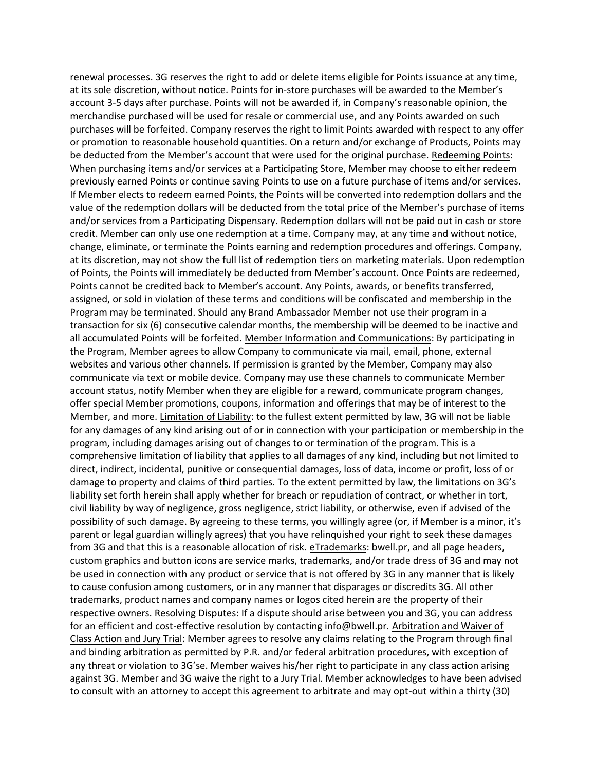renewal processes. 3G reserves the right to add or delete items eligible for Points issuance at any time, at its sole discretion, without notice. Points for in-store purchases will be awarded to the Member's account 3-5 days after purchase. Points will not be awarded if, in Company's reasonable opinion, the merchandise purchased will be used for resale or commercial use, and any Points awarded on such purchases will be forfeited. Company reserves the right to limit Points awarded with respect to any offer or promotion to reasonable household quantities. On a return and/or exchange of Products, Points may be deducted from the Member's account that were used for the original purchase. Redeeming Points: When purchasing items and/or services at a Participating Store, Member may choose to either redeem previously earned Points or continue saving Points to use on a future purchase of items and/or services. If Member elects to redeem earned Points, the Points will be converted into redemption dollars and the value of the redemption dollars will be deducted from the total price of the Member's purchase of items and/or services from a Participating Dispensary. Redemption dollars will not be paid out in cash or store credit. Member can only use one redemption at a time. Company may, at any time and without notice, change, eliminate, or terminate the Points earning and redemption procedures and offerings. Company, at its discretion, may not show the full list of redemption tiers on marketing materials. Upon redemption of Points, the Points will immediately be deducted from Member's account. Once Points are redeemed, Points cannot be credited back to Member's account. Any Points, awards, or benefits transferred, assigned, or sold in violation of these terms and conditions will be confiscated and membership in the Program may be terminated. Should any Brand Ambassador Member not use their program in a transaction for six (6) consecutive calendar months, the membership will be deemed to be inactive and all accumulated Points will be forfeited. Member Information and Communications: By participating in the Program, Member agrees to allow Company to communicate via mail, email, phone, external websites and various other channels. If permission is granted by the Member, Company may also communicate via text or mobile device. Company may use these channels to communicate Member account status, notify Member when they are eligible for a reward, communicate program changes, offer special Member promotions, coupons, information and offerings that may be of interest to the Member, and more. Limitation of Liability: to the fullest extent permitted by law, 3G will not be liable for any damages of any kind arising out of or in connection with your participation or membership in the program, including damages arising out of changes to or termination of the program. This is a comprehensive limitation of liability that applies to all damages of any kind, including but not limited to direct, indirect, incidental, punitive or consequential damages, loss of data, income or profit, loss of or damage to property and claims of third parties. To the extent permitted by law, the limitations on 3G's liability set forth herein shall apply whether for breach or repudiation of contract, or whether in tort, civil liability by way of negligence, gross negligence, strict liability, or otherwise, even if advised of the possibility of such damage. By agreeing to these terms, you willingly agree (or, if Member is a minor, it's parent or legal guardian willingly agrees) that you have relinquished your right to seek these damages from 3G and that this is a reasonable allocation of risk. eTrademarks: bwell.pr, and all page headers, custom graphics and button icons are service marks, trademarks, and/or trade dress of 3G and may not be used in connection with any product or service that is not offered by 3G in any manner that is likely to cause confusion among customers, or in any manner that disparages or discredits 3G. All other trademarks, product names and company names or logos cited herein are the property of their respective owners. Resolving Disputes: If a dispute should arise between you and 3G, you can address for an efficient and cost-effective resolution by contacting info@bwell.pr. Arbitration and Waiver of Class Action and Jury Trial: Member agrees to resolve any claims relating to the Program through final and binding arbitration as permitted by P.R. and/or federal arbitration procedures, with exception of any threat or violation to 3G'se. Member waives his/her right to participate in any class action arising against 3G. Member and 3G waive the right to a Jury Trial. Member acknowledges to have been advised to consult with an attorney to accept this agreement to arbitrate and may opt-out within a thirty (30)